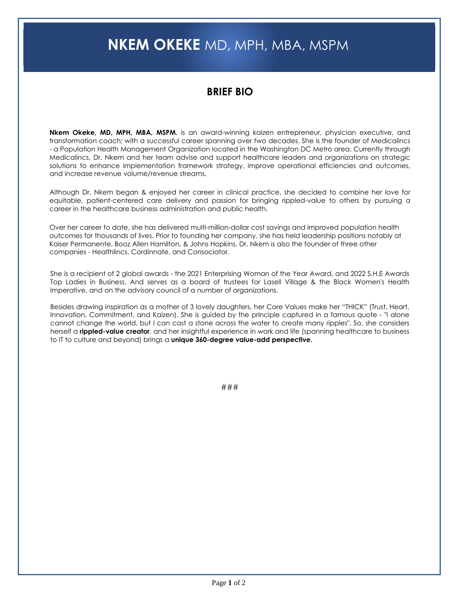## **NKEM OKEKE** MD, MPH, MBA, MSPM

## **BRIEF BIO**

**Nkem Okeke, MD, MPH, MBA, MSPM**, is an award-winning kaizen entrepreneur, physician executive, and transformation coach; with a successful career spanning over two decades. She is the founder of Medicalincs - a Population Health Management Organization located in the Washington DC Metro area. Currently through Medicalincs, Dr. Nkem and her team advise and support healthcare leaders and organizations on strategic solutions to enhance implementation framework strategy, improve operational efficiencies and outcomes, and increase revenue volume/revenue streams.

Although Dr. Nkem began & enjoyed her career in clinical practice, she decided to combine her love for equitable, patient-centered care delivery and passion for bringing rippled-value to others by pursuing a career in the healthcare business administration and public health.

Over her career to date, she has delivered multi-million-dollar cost savings and improved population health outcomes for thousands of lives. Prior to founding her company, she has held leadership positions notably at Kaiser Permanente, Booz Allen Hamilton, & Johns Hopkins. Dr. Nkem is also the founder of three other companies - Healthlincs, Cordinnate, and Consociator.

She is a recipient of 2 global awards - the 2021 Enterprising Woman of the Year Award, and 2022 S.H.E Awards Top Ladies in Business. And serves as a board of trustees for Lasell Village & the Black Women's Health Imperative, and on the advisory council of a number of organizations.

Besides drawing inspiration as a mother of 3 lovely daughters, her Core Values make her "THICK" (Trust, Heart, Innovation, Commitment, and Kaizen). She is guided by the principle captured in a famous quote - "I alone cannot change the world, but I can cast a stone across the water to create many ripples". So, she considers herself a **rippled-value creator**, and her insightful experience in work and life (spanning healthcare to business to IT to culture and beyond) brings a **unique 360-degree value-add perspective.**

###